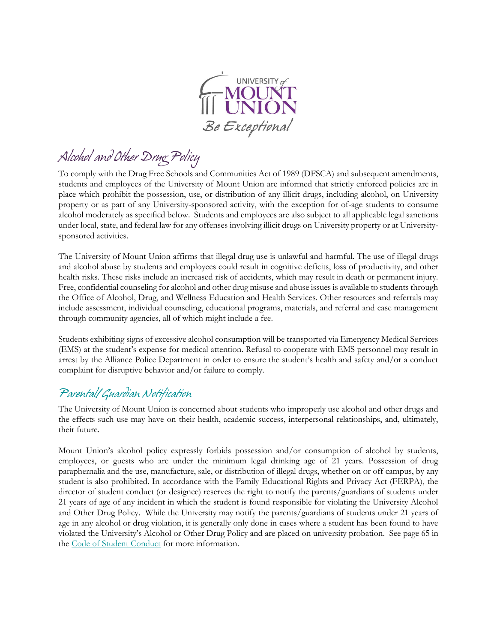

*Alcohol and Other Drug Policy*

To comply with the Drug Free Schools and Communities Act of 1989 (DFSCA) and subsequent amendments, students and employees of the University of Mount Union are informed that strictly enforced policies are in place which prohibit the possession, use, or distribution of any illicit drugs, including alcohol, on University property or as part of any University-sponsored activity, with the exception for of-age students to consume alcohol moderately as specified below. Students and employees are also subject to all applicable legal sanctions under local, state, and federal law for any offenses involving illicit drugs on University property or at Universitysponsored activities.

The University of Mount Union affirms that illegal drug use is unlawful and harmful. The use of illegal drugs and alcohol abuse by students and employees could result in cognitive deficits, loss of productivity, and other health risks. These risks include an increased risk of accidents, which may result in death or permanent injury. Free, confidential counseling for alcohol and other drug misuse and abuse issues is available to students through the Office of Alcohol, Drug, and Wellness Education and Health Services. Other resources and referrals may include assessment, individual counseling, educational programs, materials, and referral and case management through community agencies, all of which might include a fee.

Students exhibiting signs of excessive alcohol consumption will be transported via Emergency Medical Services (EMS) at the student's expense for medical attention. Refusal to cooperate with EMS personnel may result in arrest by the Alliance Police Department in order to ensure the student's health and safety and/or a conduct complaint for disruptive behavior and/or failure to comply.

### *Parental/Guardian Notification*

The University of Mount Union is concerned about students who improperly use alcohol and other drugs and the effects such use may have on their health, academic success, interpersonal relationships, and, ultimately, their future.

Mount Union's alcohol policy expressly forbids possession and/or consumption of alcohol by students, employees, or guests who are under the minimum legal drinking age of 21 years. Possession of drug paraphernalia and the use, manufacture, sale, or distribution of illegal drugs, whether on or off campus, by any student is also prohibited. In accordance with the Family Educational Rights and Privacy Act (FERPA), the director of student conduct (or designee) reserves the right to notify the parents/guardians of students under 21 years of age of any incident in which the student is found responsible for violating the University Alcohol and Other Drug Policy. While the University may notify the parents/guardians of students under 21 years of age in any alcohol or drug violation, it is generally only done in cases where a student has been found to have violated the University's Alcohol or Other Drug Policy and are placed on university probation. See page 65 in the Code of Student Conduct for more information.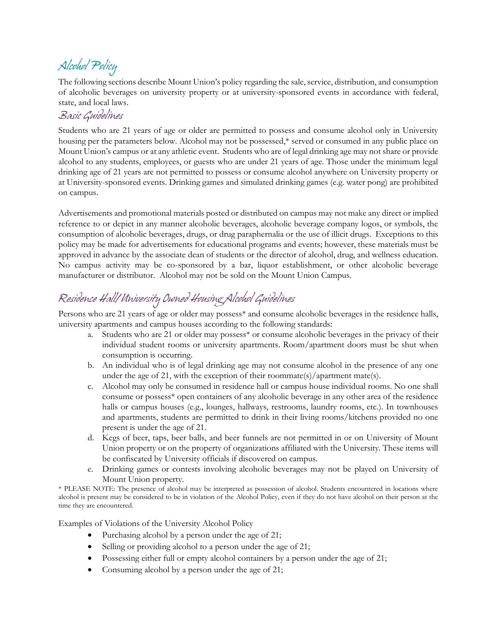# *Alcohol Policy*

The following sections describe Mount Union's policy regarding the sale, service, distribution, and consumption of alcoholic beverages on university property or at university-sponsored events in accordance with federal, state, and local laws.

#### *Basic Guidelines*

Students who are 21 years of age or older are permitted to possess and consume alcohol only in University housing per the parameters below. Alcohol may not be possessed,\* served or consumed in any public place on Mount Union's campus or at any athletic event. Students who are of legal drinking age may not share or provide alcohol to any students, employees, or guests who are under 21 years of age. Those under the minimum legal drinking age of 21 years are not permitted to possess or consume alcohol anywhere on University property or at University-sponsored events. Drinking games and simulated drinking games (e.g. water pong) are prohibited on campus.

Advertisements and promotional materials posted or distributed on campus may not make any direct or implied reference to or depict in any manner alcoholic beverages, alcoholic beverage company logos, or symbols, the consumption of alcoholic beverages, drugs, or drug paraphernalia or the use of illicit drugs. Exceptions to this policy may be made for advertisements for educational programs and events; however, these materials must be approved in advance by the associate dean of students or the director of alcohol, drug, and wellness education. No campus activity may be co-sponsored by a bar, liquor establishment, or other alcoholic beverage manufacturer or distributor. Alcohol may not be sold on the Mount Union Campus.

## *Residence Hall/University Owned Housing Alcohol Guidelines*

Persons who are 21 years of age or older may possess\* and consume alcoholic beverages in the residence halls, university apartments and campus houses according to the following standards:

- a. Students who are 21 or older may possess\* or consume alcoholic beverages in the privacy of their individual student rooms or university apartments. Room/apartment doors must be shut when consumption is occurring.
- b. An individual who is of legal drinking age may not consume alcohol in the presence of any one under the age of 21, with the exception of their roommate(s)/apartment mate(s).
- c. Alcohol may only be consumed in residence hall or campus house individual rooms. No one shall consume or possess\* open containers of any alcoholic beverage in any other area of the residence halls or campus houses (e.g., lounges, hallways, restrooms, laundry rooms, etc.). In townhouses and apartments, students are permitted to drink in their living rooms/kitchens provided no one present is under the age of 21.
- d. Kegs of beer, taps, beer balls, and beer funnels are not permitted in or on University of Mount Union property or on the property of organizations affiliated with the University. These items will be confiscated by University officials if discovered on campus.
- e. Drinking games or contests involving alcoholic beverages may not be played on University of Mount Union property.

\* PLEASE NOTE: The presence of alcohol may be interpreted as possession of alcohol. Students encountered in locations where alcohol is present may be considered to be in violation of the Alcohol Policy, even if they do not have alcohol on their person at the time they are encountered.

Examples of Violations of the University Alcohol Policy

- Purchasing alcohol by a person under the age of 21;
- Selling or providing alcohol to a person under the age of 21;
- Possessing either full or empty alcohol containers by a person under the age of 21;
- Consuming alcohol by a person under the age of 21;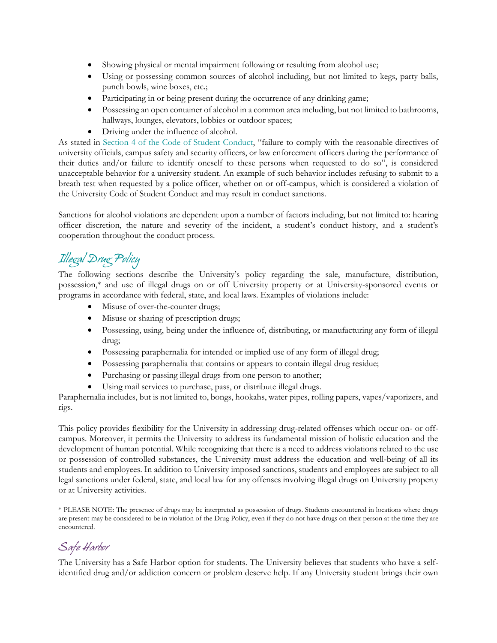- Showing physical or mental impairment following or resulting from alcohol use;
- Using or possessing common sources of alcohol including, but not limited to kegs, party balls, punch bowls, wine boxes, etc.;
- Participating in or being present during the occurrence of any drinking game;
- Possessing an open container of alcohol in a common area including, but not limited to bathrooms, hallways, lounges, elevators, lobbies or outdoor spaces;
- Driving under the influence of alcohol.

As stated in Section 4 of the Code of Student Conduct, "failure to comply with the reasonable directives of university officials, campus safety and security officers, or law enforcement officers during the performance of their duties and/or failure to identify oneself to these persons when requested to do so", is considered unacceptable behavior for a university student. An example of such behavior includes refusing to submit to a breath test when requested by a police officer, whether on or off-campus, which is considered a violation of the University Code of Student Conduct and may result in conduct sanctions.

Sanctions for alcohol violations are dependent upon a number of factors including, but not limited to: hearing officer discretion, the nature and severity of the incident, a student's conduct history, and a student's cooperation throughout the conduct process.

## *Illegal Drug Policy*

The following sections describe the University's policy regarding the sale, manufacture, distribution, possession,\* and use of illegal drugs on or off University property or at University-sponsored events or programs in accordance with federal, state, and local laws. Examples of violations include:

- Misuse of over-the-counter drugs;
- Misuse or sharing of prescription drugs;
- Possessing, using, being under the influence of, distributing, or manufacturing any form of illegal drug;
- Possessing paraphernalia for intended or implied use of any form of illegal drug;
- Possessing paraphernalia that contains or appears to contain illegal drug residue;
- Purchasing or passing illegal drugs from one person to another;
- Using mail services to purchase, pass, or distribute illegal drugs.

Paraphernalia includes, but is not limited to, bongs, hookahs, water pipes, rolling papers, vapes/vaporizers, and rigs.

This policy provides flexibility for the University in addressing drug-related offenses which occur on- or offcampus. Moreover, it permits the University to address its fundamental mission of holistic education and the development of human potential. While recognizing that there is a need to address violations related to the use or possession of controlled substances, the University must address the education and well-being of all its students and employees. In addition to University imposed sanctions, students and employees are subject to all legal sanctions under federal, state, and local law for any offenses involving illegal drugs on University property or at University activities.

\* PLEASE NOTE: The presence of drugs may be interpreted as possession of drugs. Students encountered in locations where drugs are present may be considered to be in violation of the Drug Policy, even if they do not have drugs on their person at the time they are encountered.

### *Safe Harbor*

The University has a Safe Harbor option for students. The University believes that students who have a selfidentified drug and/or addiction concern or problem deserve help. If any University student brings their own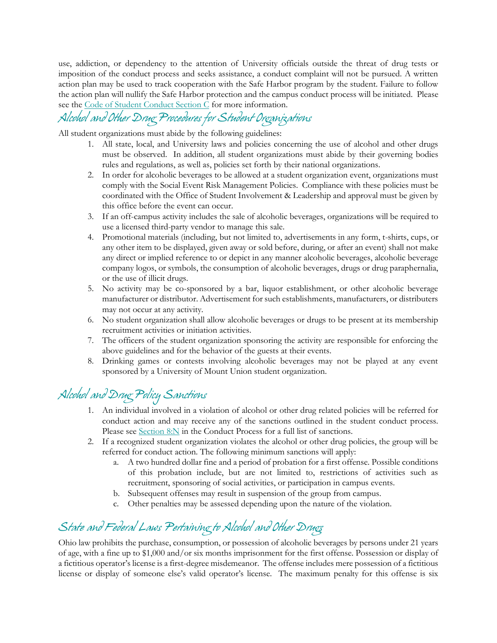use, addiction, or dependency to the attention of University officials outside the threat of drug tests or imposition of the conduct process and seeks assistance, a conduct complaint will not be pursued. A written action plan may be used to track cooperation with the Safe Harbor program by the student. Failure to follow the action plan will nullify the Safe Harbor protection and the campus conduct process will be initiated. Please see the Code of Student Conduct Section C for more information.

# *Alcohol and Other Drug Procedures for Student Organizations*

All student organizations must abide by the following guidelines:

- 1. All state, local, and University laws and policies concerning the use of alcohol and other drugs must be observed. In addition, all student organizations must abide by their governing bodies rules and regulations, as well as, policies set forth by their national organizations.
- 2. In order for alcoholic beverages to be allowed at a student organization event, organizations must comply with the Social Event Risk Management Policies. Compliance with these policies must be coordinated with the Office of Student Involvement & Leadership and approval must be given by this office before the event can occur.
- 3. If an off-campus activity includes the sale of alcoholic beverages, organizations will be required to use a licensed third-party vendor to manage this sale.
- 4. Promotional materials (including, but not limited to, advertisements in any form, t-shirts, cups, or any other item to be displayed, given away or sold before, during, or after an event) shall not make any direct or implied reference to or depict in any manner alcoholic beverages, alcoholic beverage company logos, or symbols, the consumption of alcoholic beverages, drugs or drug paraphernalia, or the use of illicit drugs.
- 5. No activity may be co-sponsored by a bar, liquor establishment, or other alcoholic beverage manufacturer or distributor. Advertisement for such establishments, manufacturers, or distributers may not occur at any activity.
- 6. No student organization shall allow alcoholic beverages or drugs to be present at its membership recruitment activities or initiation activities.
- 7. The officers of the student organization sponsoring the activity are responsible for enforcing the above guidelines and for the behavior of the guests at their events.
- 8. Drinking games or contests involving alcoholic beverages may not be played at any event sponsored by a University of Mount Union student organization.

## *Alcohol and Drug Policy Sanctions*

- 1. An individual involved in a violation of alcohol or other drug related policies will be referred for conduct action and may receive any of the sanctions outlined in the student conduct process. Please see Section 8:N in the Conduct Process for a full list of sanctions.
- 2. If a recognized student organization violates the alcohol or other drug policies, the group will be referred for conduct action. The following minimum sanctions will apply:
	- a. A two hundred dollar fine and a period of probation for a first offense. Possible conditions of this probation include, but are not limited to, restrictions of activities such as recruitment, sponsoring of social activities, or participation in campus events.
	- b. Subsequent offenses may result in suspension of the group from campus.
	- Other penalties may be assessed depending upon the nature of the violation.

## *State and Federal Laws Pertaining to Alcohol and Other Drugs*

Ohio law prohibits the purchase, consumption, or possession of alcoholic beverages by persons under 21 years of age, with a fine up to \$1,000 and/or six months imprisonment for the first offense. Possession or display of a fictitious operator's license is a first-degree misdemeanor. The offense includes mere possession of a fictitious license or display of someone else's valid operator's license. The maximum penalty for this offense is six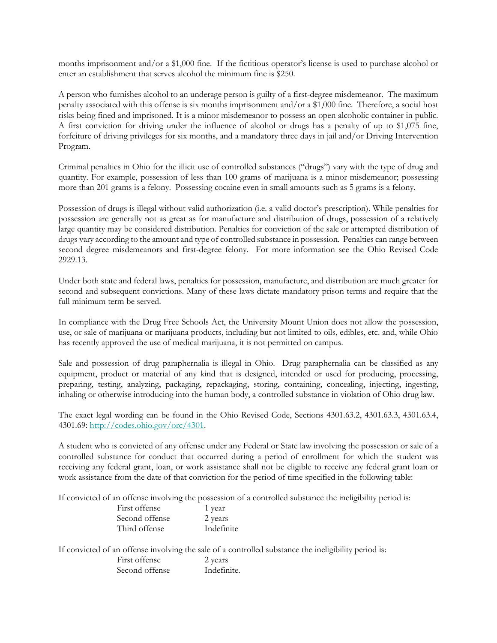months imprisonment and/or a \$1,000 fine. If the fictitious operator's license is used to purchase alcohol or enter an establishment that serves alcohol the minimum fine is \$250.

A person who furnishes alcohol to an underage person is guilty of a first-degree misdemeanor. The maximum penalty associated with this offense is six months imprisonment and/or a \$1,000 fine. Therefore, a social host risks being fined and imprisoned. It is a minor misdemeanor to possess an open alcoholic container in public. A first conviction for driving under the influence of alcohol or drugs has a penalty of up to \$1,075 fine, forfeiture of driving privileges for six months, and a mandatory three days in jail and/or Driving Intervention Program.

Criminal penalties in Ohio for the illicit use of controlled substances ("drugs") vary with the type of drug and quantity. For example, possession of less than 100 grams of marijuana is a minor misdemeanor; possessing more than 201 grams is a felony. Possessing cocaine even in small amounts such as 5 grams is a felony.

Possession of drugs is illegal without valid authorization (i.e. a valid doctor's prescription). While penalties for possession are generally not as great as for manufacture and distribution of drugs, possession of a relatively large quantity may be considered distribution. Penalties for conviction of the sale or attempted distribution of drugs vary according to the amount and type of controlled substance in possession. Penalties can range between second degree misdemeanors and first-degree felony. For more information see the Ohio Revised Code 2929.13.

Under both state and federal laws, penalties for possession, manufacture, and distribution are much greater for second and subsequent convictions. Many of these laws dictate mandatory prison terms and require that the full minimum term be served.

In compliance with the Drug Free Schools Act, the University Mount Union does not allow the possession, use, or sale of marijuana or marijuana products, including but not limited to oils, edibles, etc. and, while Ohio has recently approved the use of medical marijuana, it is not permitted on campus.

Sale and possession of drug paraphernalia is illegal in Ohio. Drug paraphernalia can be classified as any equipment, product or material of any kind that is designed, intended or used for producing, processing, preparing, testing, analyzing, packaging, repackaging, storing, containing, concealing, injecting, ingesting, inhaling or otherwise introducing into the human body, a controlled substance in violation of Ohio drug law.

The exact legal wording can be found in the Ohio Revised Code, Sections 4301.63.2, 4301.63.3, 4301.63.4, 4301.69: [http://codes.ohio.gov/orc/4301.](http://codes.ohio.gov/orc/4301)

A student who is convicted of any offense under any Federal or State law involving the possession or sale of a controlled substance for conduct that occurred during a period of enrollment for which the student was receiving any federal grant, loan, or work assistance shall not be eligible to receive any federal grant loan or work assistance from the date of that conviction for the period of time specified in the following table:

If convicted of an offense involving the possession of a controlled substance the ineligibility period is:

| First offense  | 1 year     |
|----------------|------------|
| Second offense | 2 years    |
| Third offense  | Indefinite |

If convicted of an offense involving the sale of a controlled substance the ineligibility period is:

| First offense  | 2 years     |
|----------------|-------------|
| Second offense | Indefinite. |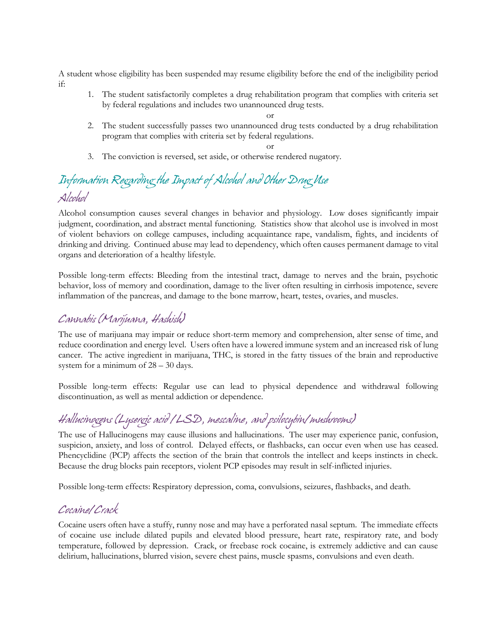A student whose eligibility has been suspended may resume eligibility before the end of the ineligibility period if:

1. The student satisfactorily completes a drug rehabilitation program that complies with criteria set by federal regulations and includes two unannounced drug tests.

or

- 2. The student successfully passes two unannounced drug tests conducted by a drug rehabilitation program that complies with criteria set by federal regulations.
- or 3. The conviction is reversed, set aside, or otherwise rendered nugatory.

## *Information Regarding the Impact of Alcohol and Other Drug Use Alcohol*

Alcohol consumption causes several changes in behavior and physiology. Low doses significantly impair judgment, coordination, and abstract mental functioning. Statistics show that alcohol use is involved in most of violent behaviors on college campuses, including acquaintance rape, vandalism, fights, and incidents of drinking and driving. Continued abuse may lead to dependency, which often causes permanent damage to vital organs and deterioration of a healthy lifestyle.

Possible long-term effects: Bleeding from the intestinal tract, damage to nerves and the brain, psychotic behavior, loss of memory and coordination, damage to the liver often resulting in cirrhosis impotence, severe inflammation of the pancreas, and damage to the bone marrow, heart, testes, ovaries, and muscles.

### *Cannabis (Marijuana, Hashish)*

The use of marijuana may impair or reduce short-term memory and comprehension, alter sense of time, and reduce coordination and energy level. Users often have a lowered immune system and an increased risk of lung cancer. The active ingredient in marijuana, THC, is stored in the fatty tissues of the brain and reproductive system for a minimum of 28 – 30 days.

Possible long-term effects: Regular use can lead to physical dependence and withdrawal following discontinuation, as well as mental addiction or dependence.

## *Hallucinogens (Lysergic acid /LSD, mescaline, and psilocybin/mushrooms)*

The use of Hallucinogens may cause illusions and hallucinations. The user may experience panic, confusion, suspicion, anxiety, and loss of control. Delayed effects, or flashbacks, can occur even when use has ceased. Phencyclidine (PCP) affects the section of the brain that controls the intellect and keeps instincts in check. Because the drug blocks pain receptors, violent PCP episodes may result in self-inflicted injuries.

Possible long-term effects: Respiratory depression, coma, convulsions, seizures, flashbacks, and death.

### *Cocaine/Crack*

Cocaine users often have a stuffy, runny nose and may have a perforated nasal septum. The immediate effects of cocaine use include dilated pupils and elevated blood pressure, heart rate, respiratory rate, and body temperature, followed by depression. Crack, or freebase rock cocaine, is extremely addictive and can cause delirium, hallucinations, blurred vision, severe chest pains, muscle spasms, convulsions and even death.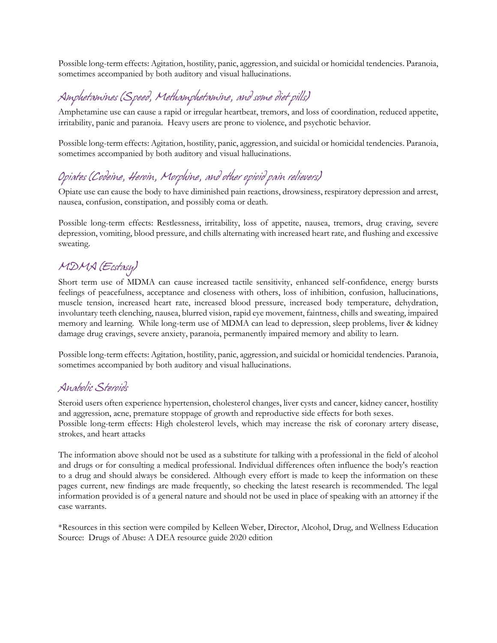Possible long-term effects: Agitation, hostility, panic, aggression, and suicidal or homicidal tendencies. Paranoia, sometimes accompanied by both auditory and visual hallucinations.

## *Amphetamines (Speed, Methamphetamine, and some diet pills)*

Amphetamine use can cause a rapid or irregular heartbeat, tremors, and loss of coordination, reduced appetite, irritability, panic and paranoia. Heavy users are prone to violence, and psychotic behavior.

Possible long-term effects: Agitation, hostility, panic, aggression, and suicidal or homicidal tendencies. Paranoia, sometimes accompanied by both auditory and visual hallucinations.

## *Opiates (Codeine, Heroin, Morphine, and other opioid pain relievers)*

Opiate use can cause the body to have diminished pain reactions, drowsiness, respiratory depression and arrest, nausea, confusion, constipation, and possibly coma or death.

Possible long-term effects: Restlessness, irritability, loss of appetite, nausea, tremors, drug craving, severe depression, vomiting, blood pressure, and chills alternating with increased heart rate, and flushing and excessive sweating.

## *MDMA (Ecstasy)*

Short term use of MDMA can cause increased tactile sensitivity, enhanced self-confidence, energy bursts feelings of peacefulness, acceptance and closeness with others, loss of inhibition, confusion, hallucinations, muscle tension, increased heart rate, increased blood pressure, increased body temperature, dehydration, involuntary teeth clenching, nausea, blurred vision, rapid eye movement, faintness, chills and sweating, impaired memory and learning. While long-term use of MDMA can lead to depression, sleep problems, liver & kidney damage drug cravings, severe anxiety, paranoia, permanently impaired memory and ability to learn.

Possible long-term effects: Agitation, hostility, panic, aggression, and suicidal or homicidal tendencies. Paranoia, sometimes accompanied by both auditory and visual hallucinations.

#### *Anabolic Steroids*

Steroid users often experience hypertension, cholesterol changes, liver cysts and cancer, kidney cancer, hostility and aggression, acne, premature stoppage of growth and reproductive side effects for both sexes. Possible long-term effects: High cholesterol levels, which may increase the risk of coronary artery disease, strokes, and heart attacks

The information above should not be used as a substitute for talking with a professional in the field of alcohol and drugs or for consulting a medical professional. Individual differences often influence the body's reaction to a drug and should always be considered. Although every effort is made to keep the information on these pages current, new findings are made frequently, so checking the latest research is recommended. The legal information provided is of a general nature and should not be used in place of speaking with an attorney if the case warrants.

\*Resources in this section were compiled by Kelleen Weber, Director, Alcohol, Drug, and Wellness Education Source: Drugs of Abuse: A DEA resource guide 2020 edition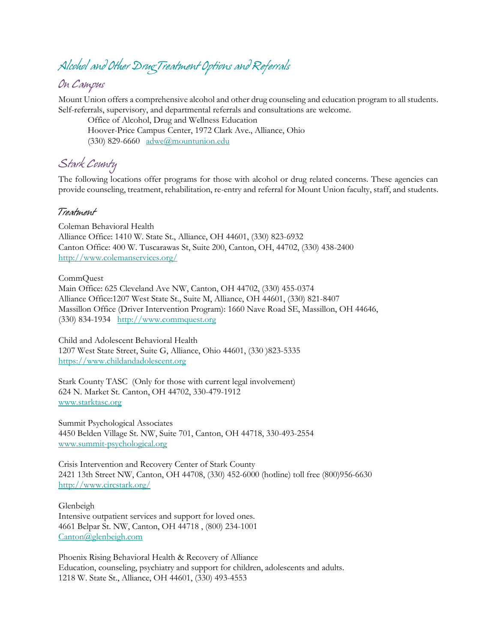# *Alcohol and Other Drug Treatment Options and Referrals*

### *On Campus*

Mount Union offers a comprehensive alcohol and other drug counseling and education program to all students. Self-referrals, supervisory, and departmental referrals and consultations are welcome.

Office of Alcohol, Drug and Wellness Education Hoover-Price Campus Center, 1972 Clark Ave., Alliance, Ohio (330) 829-6660 [adwe@mountunion.edu](mailto:adwe@mountunion.edu)

### *Stark County*

The following locations offer programs for those with alcohol or drug related concerns. These agencies can provide counseling, treatment, rehabilitation, re-entry and referral for Mount Union faculty, staff, and students.

#### *Treatment*

Coleman Behavioral Health Alliance Office: 1410 W. State St., Alliance, OH 44601, (330) 823-6932 Canton Office: 400 W. Tuscarawas St, Suite 200, Canton, OH, 44702, (330) 438-2400 <http://www.colemanservices.org/>

CommQuest

Main Office: 625 Cleveland Ave NW, Canton, OH 44702, (330) 455-0374 Alliance Office:1207 West State St., Suite M, Alliance, OH 44601, (330) 821-8407 Massillon Office (Driver Intervention Program): 1660 Nave Road SE, Massillon, OH 44646, (330) 834-1934 [http://www.commquest.org](http://www.commquest.org/) 

Child and Adolescent Behavioral Health 1207 West State Street, Suite G, Alliance, Ohio 44601, (330 )823-5335 [https://www.childandadolescent.org](https://www.childandadolescent.org/)

Stark County TASC (Only for those with current legal involvement) 624 N. Market St. Canton, OH 44702, 330-479-1912 [www.starktasc.org](http://www.starktasc.org/) 

Summit Psychological Associates 4450 Belden Village St. NW, Suite 701, Canton, OH 44718, 330-493-2554 [www.summit-psychological.org](http://www.summit-psychological.org/)

Crisis Intervention and Recovery Center of Stark County 2421 13th Street NW, Canton, OH 44708, (330) 452-6000 (hotline) toll free (800)956-6630 <http://www.circstark.org/>

Glenbeigh Intensive outpatient services and support for loved ones. 4661 Belpar St. NW, Canton, OH 44718 , (800) 234-1001 [Canton@glenbeigh.com](mailto:Canton@glenbeigh.com)

Phoenix Rising Behavioral Health & Recovery of Alliance Education, counseling, psychiatry and support for children, adolescents and adults. 1218 W. State St., Alliance, OH 44601, (330) 493-4553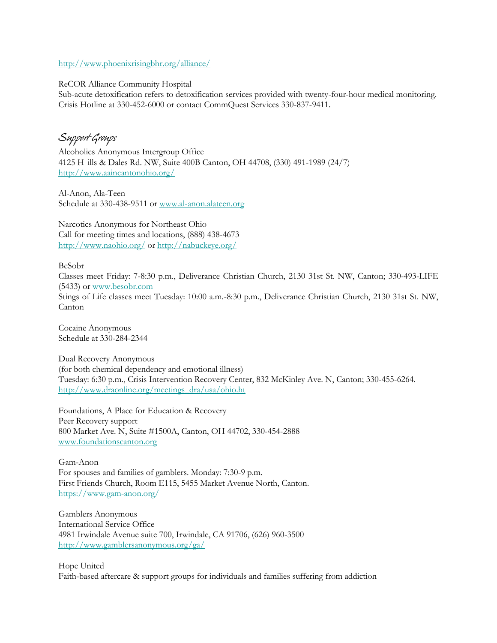<http://www.phoenixrisingbhr.org/alliance/>

ReCOR Alliance Community Hospital

Sub-acute detoxification refers to detoxification services provided with twenty-four-hour medical monitoring. Crisis Hotline at 330-452-6000 or contact CommQuest Services 330-837-9411.

*Support Groups*

Alcoholics Anonymous Intergroup Office 4125 H ills & Dales Rd. NW, Suite 400B Canton, OH 44708, (330) 491-1989 (24/7) <http://www.aaincantonohio.org/>

Al-Anon, Ala-Teen Schedule at 330-438-9511 or [www.al-anon.alateen.org](http://www.al-anon.alateen.org/)

Narcotics Anonymous for Northeast Ohio Call for meeting times and locations, (888) 438-4673 <http://www.naohio.org/> or<http://nabuckeye.org/>

BeSobr

Classes meet Friday: 7-8:30 p.m., Deliverance Christian Church, 2130 31st St. NW, Canton; 330-493-LIFE (5433) or [www.besobr.com](http://www.besobr.com/)

Stings of Life classes meet Tuesday: 10:00 a.m.-8:30 p.m., Deliverance Christian Church, 2130 31st St. NW, Canton

Cocaine Anonymous Schedule at 330-284-2344

Dual Recovery Anonymous (for both chemical dependency and emotional illness) Tuesday: 6:30 p.m., Crisis Intervention Recovery Center, 832 McKinley Ave. N, Canton; 330-455-6264. [http://www.draonline.org/meetings\\_dra/usa/ohio.ht](http://www.draonline.org/meetings_dra/usa/ohio.ht)

Foundations, A Place for Education & Recovery Peer Recovery support 800 Market Ave. N, Suite #1500A, Canton, OH 44702, 330-454-2888 [www.foundationscanton.org](http://www.foundationscanton.org/)

Gam-Anon For spouses and families of gamblers. Monday: 7:30-9 p.m. First Friends Church, Room E115, 5455 Market Avenue North, Canton. <https://www.gam-anon.org/>

Gamblers Anonymous International Service Office 4981 Irwindale Avenue suite 700, Irwindale, CA 91706, (626) 960-3500 <http://www.gamblersanonymous.org/ga/>

Hope United Faith-based aftercare & support groups for individuals and families suffering from addiction